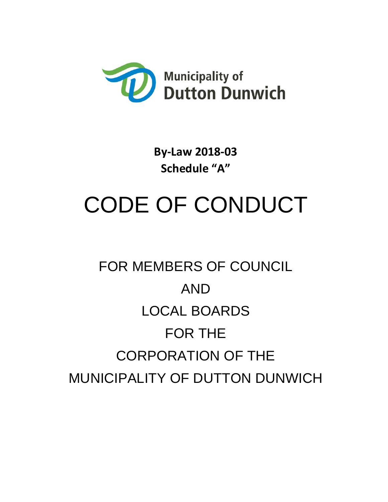

**By-Law 2018-03 Schedule "A"**

# CODE OF CONDUCT

## FOR MEMBERS OF COUNCIL AND LOCAL BOARDS FOR THE CORPORATION OF THE MUNICIPALITY OF DUTTON DUNWICH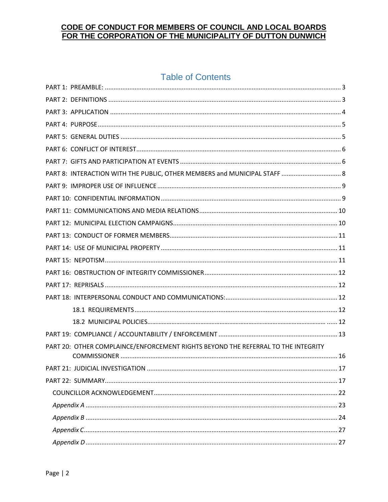### **Table of Contents**

| PART 8: INTERACTION WITH THE PUBLIC, OTHER MEMBERS and MUNICIPAL STAFF  8         |  |
|-----------------------------------------------------------------------------------|--|
|                                                                                   |  |
|                                                                                   |  |
|                                                                                   |  |
|                                                                                   |  |
|                                                                                   |  |
|                                                                                   |  |
|                                                                                   |  |
|                                                                                   |  |
|                                                                                   |  |
|                                                                                   |  |
|                                                                                   |  |
|                                                                                   |  |
|                                                                                   |  |
| PART 20: OTHER COMPLAINCE/ENFORCEMENT RIGHTS BEYOND THE REFERRAL TO THE INTEGRITY |  |
|                                                                                   |  |
|                                                                                   |  |
|                                                                                   |  |
|                                                                                   |  |
|                                                                                   |  |
|                                                                                   |  |
|                                                                                   |  |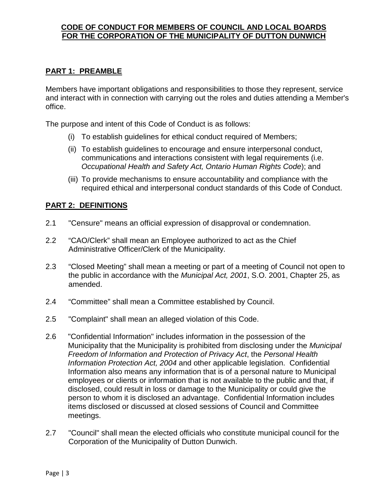#### <span id="page-2-0"></span>**PART 1: PREAMBLE**

Members have important obligations and responsibilities to those they represent, service and interact with in connection with carrying out the roles and duties attending a Member's office.

The purpose and intent of this Code of Conduct is as follows:

- (i) To establish guidelines for ethical conduct required of Members;
- (ii) To establish guidelines to encourage and ensure interpersonal conduct, communications and interactions consistent with legal requirements (i.e. *Occupational Health and Safety Act, Ontario Human Rights Code*); and
- (iii) To provide mechanisms to ensure accountability and compliance with the required ethical and interpersonal conduct standards of this Code of Conduct.

#### <span id="page-2-1"></span>**PART 2: DEFINITIONS**

- 2.1 "Censure" means an official expression of disapproval or condemnation.
- 2.2 "CAO/Clerk" shall mean an Employee authorized to act as the Chief Administrative Officer/Clerk of the Municipality.
- 2.3 "Closed Meeting" shall mean a meeting or part of a meeting of Council not open to the public in accordance with the *Municipal Act, 2001*, S.O. 2001, Chapter 25, as amended.
- 2.4 "Committee" shall mean a Committee established by Council.
- 2.5 "Complaint" shall mean an alleged violation of this Code.
- 2.6 "Confidential Information" includes information in the possession of the Municipality that the Municipality is prohibited from disclosing under the *Municipal Freedom of Information and Protection of Privacy Act*, the *Personal Health Information Protection Act, 2004* and other applicable legislation. Confidential Information also means any information that is of a personal nature to Municipal employees or clients or information that is not available to the public and that, if disclosed, could result in loss or damage to the Municipality or could give the person to whom it is disclosed an advantage. Confidential Information includes items disclosed or discussed at closed sessions of Council and Committee meetings.
- 2.7 "Council" shall mean the elected officials who constitute municipal council for the Corporation of the Municipality of Dutton Dunwich.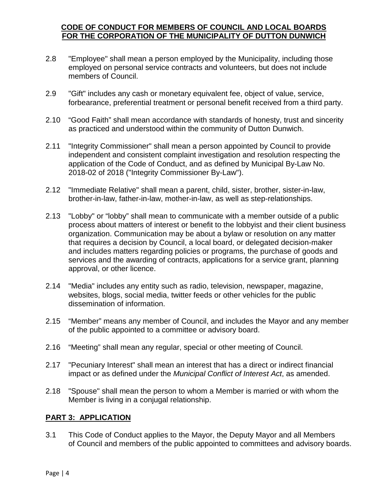- 2.8 "Employee" shall mean a person employed by the Municipality, including those employed on personal service contracts and volunteers, but does not include members of Council.
- 2.9 "Gift" includes any cash or monetary equivalent fee, object of value, service, forbearance, preferential treatment or personal benefit received from a third party.
- 2.10 "Good Faith" shall mean accordance with standards of honesty, trust and sincerity as practiced and understood within the community of Dutton Dunwich.
- 2.11 "Integrity Commissioner" shall mean a person appointed by Council to provide independent and consistent complaint investigation and resolution respecting the application of the Code of Conduct, and as defined by Municipal By-Law No. 2018-02 of 2018 ("Integrity Commissioner By-Law").
- 2.12 "Immediate Relative" shall mean a parent, child, sister, brother, sister-in-law, brother-in-law, father-in-law, mother-in-law, as well as step-relationships.
- 2.13 "Lobby" or "lobby" shall mean to communicate with a member outside of a public process about matters of interest or benefit to the lobbyist and their client business organization. Communication may be about a bylaw or resolution on any matter that requires a decision by Council, a local board, or delegated decision-maker and includes matters regarding policies or programs, the purchase of goods and services and the awarding of contracts, applications for a service grant, planning approval, or other licence.
- 2.14 "Media" includes any entity such as radio, television, newspaper, magazine, websites, blogs, social media, twitter feeds or other vehicles for the public dissemination of information.
- 2.15 "Member" means any member of Council, and includes the Mayor and any member of the public appointed to a committee or advisory board.
- 2.16 "Meeting" shall mean any regular, special or other meeting of Council.
- 2.17 "Pecuniary Interest" shall mean an interest that has a direct or indirect financial impact or as defined under the *Municipal Conflict of Interest Act*, as amended.
- 2.18 "Spouse" shall mean the person to whom a Member is married or with whom the Member is living in a conjugal relationship.

#### <span id="page-3-0"></span>**PART 3: APPLICATION**

3.1 This Code of Conduct applies to the Mayor, the Deputy Mayor and all Members of Council and members of the public appointed to committees and advisory boards.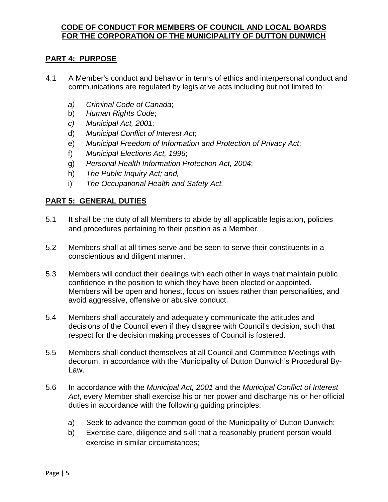#### <span id="page-4-0"></span>**PART 4: PURPOSE**

- 4.1 A Member's conduct and behavior in terms of ethics and interpersonal conduct and communications are regulated by legislative acts including but not limited to:
	- *a) Criminal Code of Canada*;
	- b) *Human Rights Code*;
	- *c) Municipal Act, 2001;*
	- d) *Municipal Conflict of Interest Act*;
	- e) *Municipal Freedom of Information and Protection of Privacy Act*;
	- f) *Municipal Elections Act, 1996*;
	- g) *Personal Health Information Protection Act, 2004*;
	- h) *The Public Inquiry Act; and,*
	- i) *The Occupational Health and Safety Act.*

#### <span id="page-4-1"></span>**PART 5: GENERAL DUTIES**

- 5.1 It shall be the duty of all Members to abide by all applicable legislation, policies and procedures pertaining to their position as a Member.
- 5.2 Members shall at all times serve and be seen to serve their constituents in a conscientious and diligent manner.
- 5.3 Members will conduct their dealings with each other in ways that maintain public confidence in the position to which they have been elected or appointed. Members will be open and honest, focus on issues rather than personalities, and avoid aggressive, offensive or abusive conduct.
- 5.4 Members shall accurately and adequately communicate the attitudes and decisions of the Council even if they disagree with Council's decision, such that respect for the decision making processes of Council is fostered.
- 5.5 Members shall conduct themselves at all Council and Committee Meetings with decorum, in accordance with the Municipality of Dutton Dunwich's Procedural By-Law.
- 5.6 In accordance with the *Municipal Act, 2001* and the *Municipal Conflict of Interest Act*, every Member shall exercise his or her power and discharge his or her official duties in accordance with the following guiding principles:
	- a) Seek to advance the common good of the Municipality of Dutton Dunwich;
	- b) Exercise care, diligence and skill that a reasonably prudent person would exercise in similar circumstances;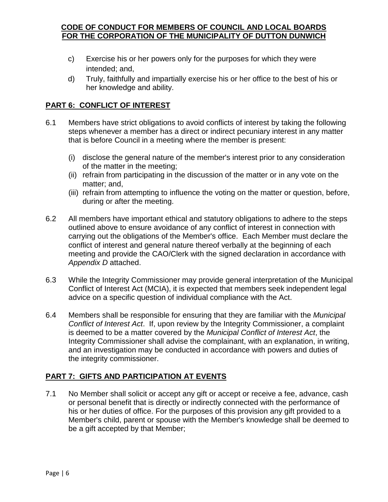- c) Exercise his or her powers only for the purposes for which they were intended; and,
- d) Truly, faithfully and impartially exercise his or her office to the best of his or her knowledge and ability.

#### <span id="page-5-0"></span>**PART 6: CONFLICT OF INTEREST**

- 6.1 Members have strict obligations to avoid conflicts of interest by taking the following steps whenever a member has a direct or indirect pecuniary interest in any matter that is before Council in a meeting where the member is present:
	- (i) disclose the general nature of the member's interest prior to any consideration of the matter in the meeting;
	- (ii) refrain from participating in the discussion of the matter or in any vote on the matter; and,
	- (iii) refrain from attempting to influence the voting on the matter or question, before, during or after the meeting.
- 6.2 All members have important ethical and statutory obligations to adhere to the steps outlined above to ensure avoidance of any conflict of interest in connection with carrying out the obligations of the Member's office. Each Member must declare the conflict of interest and general nature thereof verbally at the beginning of each meeting and provide the CAO/Clerk with the signed declaration in accordance with *Appendix D* attached.
- 6.3 While the Integrity Commissioner may provide general interpretation of the Municipal Conflict of Interest Act (MCIA), it is expected that members seek independent legal advice on a specific question of individual compliance with the Act.
- 6.4 Members shall be responsible for ensuring that they are familiar with the *Municipal Conflict of Interest Act*. If, upon review by the Integrity Commissioner, a complaint is deemed to be a matter covered by the *Municipal Conflict of Interest Act*, the Integrity Commissioner shall advise the complainant, with an explanation, in writing, and an investigation may be conducted in accordance with powers and duties of the integrity commissioner.

#### <span id="page-5-1"></span>**PART 7: GIFTS AND PARTICIPATION AT EVENTS**

7.1 No Member shall solicit or accept any gift or accept or receive a fee, advance, cash or personal benefit that is directly or indirectly connected with the performance of his or her duties of office. For the purposes of this provision any gift provided to a Member's child, parent or spouse with the Member's knowledge shall be deemed to be a gift accepted by that Member;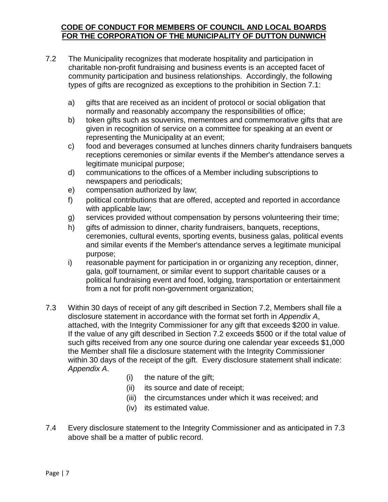- 7.2 The Municipality recognizes that moderate hospitality and participation in charitable non-profit fundraising and business events is an accepted facet of community participation and business relationships. Accordingly, the following types of gifts are recognized as exceptions to the prohibition in Section 7.1:
	- a) gifts that are received as an incident of protocol or social obligation that normally and reasonably accompany the responsibilities of office;
	- b) token gifts such as souvenirs, mementoes and commemorative gifts that are given in recognition of service on a committee for speaking at an event or representing the Municipality at an event;
	- c) food and beverages consumed at lunches dinners charity fundraisers banquets receptions ceremonies or similar events if the Member's attendance serves a legitimate municipal purpose;
	- d) communications to the offices of a Member including subscriptions to newspapers and periodicals;
	- e) compensation authorized by law;
	- f) political contributions that are offered, accepted and reported in accordance with applicable law;
	- g) services provided without compensation by persons volunteering their time;
	- h) gifts of admission to dinner, charity fundraisers, banquets, receptions, ceremonies, cultural events, sporting events, business galas, political events and similar events if the Member's attendance serves a legitimate municipal purpose;
	- i) reasonable payment for participation in or organizing any reception, dinner, gala, golf tournament, or similar event to support charitable causes or a political fundraising event and food, lodging, transportation or entertainment from a not for profit non-government organization;
- 7.3 Within 30 days of receipt of any gift described in Section 7.2, Members shall file a disclosure statement in accordance with the format set forth in *Appendix A*, attached, with the Integrity Commissioner for any gift that exceeds \$200 in value. If the value of any gift described in Section 7.2 exceeds \$500 or if the total value of such gifts received from any one source during one calendar year exceeds \$1,000 the Member shall file a disclosure statement with the Integrity Commissioner within 30 days of the receipt of the gift. Every disclosure statement shall indicate: *Appendix A*.
	- (i) the nature of the gift;
	- (ii) its source and date of receipt;
	- (iii) the circumstances under which it was received; and
	- (iv) its estimated value.
- 7.4 Every disclosure statement to the Integrity Commissioner and as anticipated in 7.3 above shall be a matter of public record.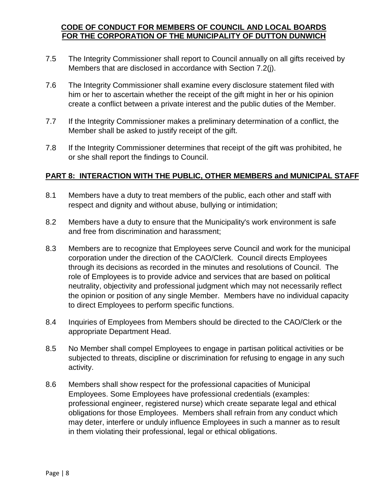- 7.5 The Integrity Commissioner shall report to Council annually on all gifts received by Members that are disclosed in accordance with Section 7.2(j).
- 7.6 The Integrity Commissioner shall examine every disclosure statement filed with him or her to ascertain whether the receipt of the gift might in her or his opinion create a conflict between a private interest and the public duties of the Member.
- 7.7 If the Integrity Commissioner makes a preliminary determination of a conflict, the Member shall be asked to justify receipt of the gift.
- 7.8 If the Integrity Commissioner determines that receipt of the gift was prohibited, he or she shall report the findings to Council.

#### <span id="page-7-0"></span>**PART 8: INTERACTION WITH THE PUBLIC, OTHER MEMBERS and MUNICIPAL STAFF**

- 8.1 Members have a duty to treat members of the public, each other and staff with respect and dignity and without abuse, bullying or intimidation;
- 8.2 Members have a duty to ensure that the Municipality's work environment is safe and free from discrimination and harassment;
- 8.3 Members are to recognize that Employees serve Council and work for the municipal corporation under the direction of the CAO/Clerk. Council directs Employees through its decisions as recorded in the minutes and resolutions of Council. The role of Employees is to provide advice and services that are based on political neutrality, objectivity and professional judgment which may not necessarily reflect the opinion or position of any single Member. Members have no individual capacity to direct Employees to perform specific functions.
- 8.4 Inquiries of Employees from Members should be directed to the CAO/Clerk or the appropriate Department Head.
- 8.5 No Member shall compel Employees to engage in partisan political activities or be subjected to threats, discipline or discrimination for refusing to engage in any such activity.
- 8.6 Members shall show respect for the professional capacities of Municipal Employees. Some Employees have professional credentials (examples: professional engineer, registered nurse) which create separate legal and ethical obligations for those Employees. Members shall refrain from any conduct which may deter, interfere or unduly influence Employees in such a manner as to result in them violating their professional, legal or ethical obligations.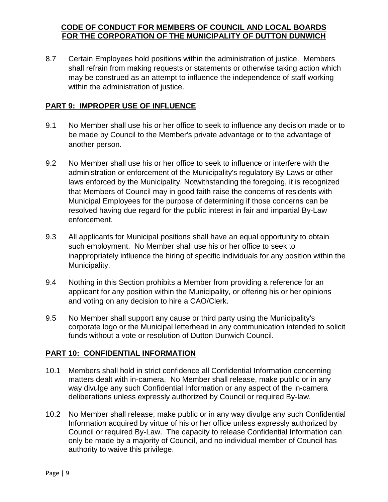8.7 Certain Employees hold positions within the administration of justice. Members shall refrain from making requests or statements or otherwise taking action which may be construed as an attempt to influence the independence of staff working within the administration of justice.

#### <span id="page-8-0"></span>**PART 9: IMPROPER USE OF INFLUENCE**

- 9.1 No Member shall use his or her office to seek to influence any decision made or to be made by Council to the Member's private advantage or to the advantage of another person.
- 9.2 No Member shall use his or her office to seek to influence or interfere with the administration or enforcement of the Municipality's regulatory By-Laws or other laws enforced by the Municipality. Notwithstanding the foregoing, it is recognized that Members of Council may in good faith raise the concerns of residents with Municipal Employees for the purpose of determining if those concerns can be resolved having due regard for the public interest in fair and impartial By-Law enforcement.
- 9.3 All applicants for Municipal positions shall have an equal opportunity to obtain such employment. No Member shall use his or her office to seek to inappropriately influence the hiring of specific individuals for any position within the Municipality.
- 9.4 Nothing in this Section prohibits a Member from providing a reference for an applicant for any position within the Municipality, or offering his or her opinions and voting on any decision to hire a CAO/Clerk.
- 9.5 No Member shall support any cause or third party using the Municipality's corporate logo or the Municipal letterhead in any communication intended to solicit funds without a vote or resolution of Dutton Dunwich Council.

#### <span id="page-8-1"></span>**PART 10: CONFIDENTIAL INFORMATION**

- 10.1 Members shall hold in strict confidence all Confidential Information concerning matters dealt with in-camera. No Member shall release, make public or in any way divulge any such Confidential Information or any aspect of the in-camera deliberations unless expressly authorized by Council or required By-law.
- 10.2 No Member shall release, make public or in any way divulge any such Confidential Information acquired by virtue of his or her office unless expressly authorized by Council or required By-Law. The capacity to release Confidential Information can only be made by a majority of Council, and no individual member of Council has authority to waive this privilege.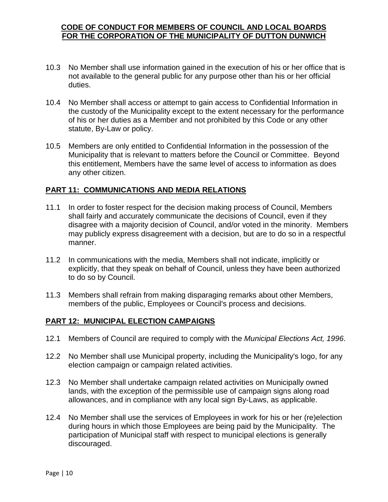- 10.3 No Member shall use information gained in the execution of his or her office that is not available to the general public for any purpose other than his or her official duties.
- 10.4 No Member shall access or attempt to gain access to Confidential Information in the custody of the Municipality except to the extent necessary for the performance of his or her duties as a Member and not prohibited by this Code or any other statute, By-Law or policy.
- 10.5 Members are only entitled to Confidential Information in the possession of the Municipality that is relevant to matters before the Council or Committee. Beyond this entitlement, Members have the same level of access to information as does any other citizen.

#### <span id="page-9-0"></span>**PART 11: COMMUNICATIONS AND MEDIA RELATIONS**

- 11.1 In order to foster respect for the decision making process of Council, Members shall fairly and accurately communicate the decisions of Council, even if they disagree with a majority decision of Council, and/or voted in the minority. Members may publicly express disagreement with a decision, but are to do so in a respectful manner.
- 11.2 In communications with the media, Members shall not indicate, implicitly or explicitly, that they speak on behalf of Council, unless they have been authorized to do so by Council.
- 11.3 Members shall refrain from making disparaging remarks about other Members, members of the public, Employees or Council's process and decisions.

#### <span id="page-9-1"></span>**PART 12: MUNICIPAL ELECTION CAMPAIGNS**

- 12.1 Members of Council are required to comply with the *Municipal Elections Act, 1996*.
- 12.2 No Member shall use Municipal property, including the Municipality's logo, for any election campaign or campaign related activities.
- 12.3 No Member shall undertake campaign related activities on Municipally owned lands, with the exception of the permissible use of campaign signs along road allowances, and in compliance with any local sign By-Laws, as applicable.
- 12.4 No Member shall use the services of Employees in work for his or her (re)election during hours in which those Employees are being paid by the Municipality. The participation of Municipal staff with respect to municipal elections is generally discouraged.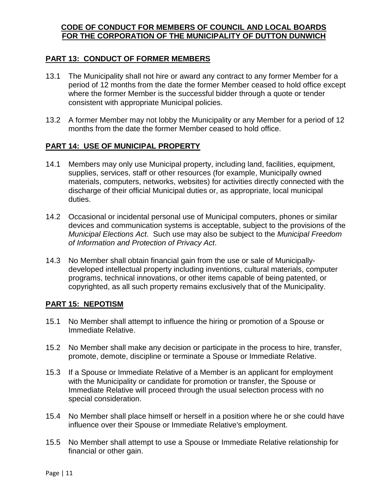#### <span id="page-10-0"></span>**PART 13: CONDUCT OF FORMER MEMBERS**

- 13.1 The Municipality shall not hire or award any contract to any former Member for a period of 12 months from the date the former Member ceased to hold office except where the former Member is the successful bidder through a quote or tender consistent with appropriate Municipal policies.
- 13.2 A former Member may not lobby the Municipality or any Member for a period of 12 months from the date the former Member ceased to hold office.

#### <span id="page-10-1"></span>**PART 14: USE OF MUNICIPAL PROPERTY**

- 14.1 Members may only use Municipal property, including land, facilities, equipment, supplies, services, staff or other resources (for example, Municipally owned materials, computers, networks, websites) for activities directly connected with the discharge of their official Municipal duties or, as appropriate, local municipal duties.
- 14.2 Occasional or incidental personal use of Municipal computers, phones or similar devices and communication systems is acceptable, subject to the provisions of the *Municipal Elections Act*. Such use may also be subject to the *Municipal Freedom of Information and Protection of Privacy Act*.
- 14.3 No Member shall obtain financial gain from the use or sale of Municipallydeveloped intellectual property including inventions, cultural materials, computer programs, technical innovations, or other items capable of being patented, or copyrighted, as all such property remains exclusively that of the Municipality.

#### <span id="page-10-2"></span>**PART 15: NEPOTISM**

- 15.1 No Member shall attempt to influence the hiring or promotion of a Spouse or Immediate Relative.
- 15.2 No Member shall make any decision or participate in the process to hire, transfer, promote, demote, discipline or terminate a Spouse or Immediate Relative.
- 15.3 If a Spouse or Immediate Relative of a Member is an applicant for employment with the Municipality or candidate for promotion or transfer, the Spouse or Immediate Relative will proceed through the usual selection process with no special consideration.
- 15.4 No Member shall place himself or herself in a position where he or she could have influence over their Spouse or Immediate Relative's employment.
- 15.5 No Member shall attempt to use a Spouse or Immediate Relative relationship for financial or other gain.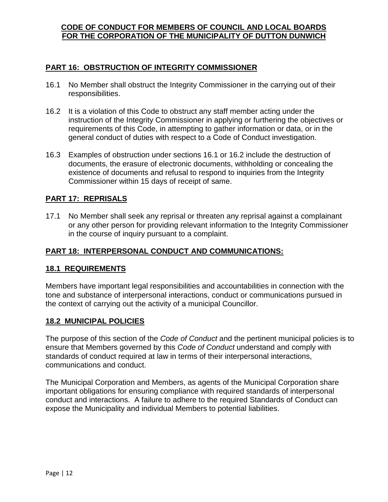#### <span id="page-11-0"></span>**PART 16: OBSTRUCTION OF INTEGRITY COMMISSIONER**

- 16.1 No Member shall obstruct the Integrity Commissioner in the carrying out of their responsibilities.
- 16.2 It is a violation of this Code to obstruct any staff member acting under the instruction of the Integrity Commissioner in applying or furthering the objectives or requirements of this Code, in attempting to gather information or data, or in the general conduct of duties with respect to a Code of Conduct investigation.
- 16.3 Examples of obstruction under sections 16.1 or 16.2 include the destruction of documents, the erasure of electronic documents, withholding or concealing the existence of documents and refusal to respond to inquiries from the Integrity Commissioner within 15 days of receipt of same.

#### <span id="page-11-1"></span>**PART 17: REPRISALS**

17.1 No Member shall seek any reprisal or threaten any reprisal against a complainant or any other person for providing relevant information to the Integrity Commissioner in the course of inquiry pursuant to a complaint.

#### <span id="page-11-3"></span><span id="page-11-2"></span>**PART 18: INTERPERSONAL CONDUCT AND COMMUNICATIONS:**

#### **18.1 REQUIREMENTS**

Members have important legal responsibilities and accountabilities in connection with the tone and substance of interpersonal interactions, conduct or communications pursued in the context of carrying out the activity of a municipal Councillor.

#### **18.2 MUNICIPAL POLICIES**

The purpose of this section of the *Code of Conduct* and the pertinent municipal policies is to ensure that Members governed by this *Code of Conduct* understand and comply with standards of conduct required at law in terms of their interpersonal interactions, communications and conduct.

The Municipal Corporation and Members, as agents of the Municipal Corporation share important obligations for ensuring compliance with required standards of interpersonal conduct and interactions. A failure to adhere to the required Standards of Conduct can expose the Municipality and individual Members to potential liabilities.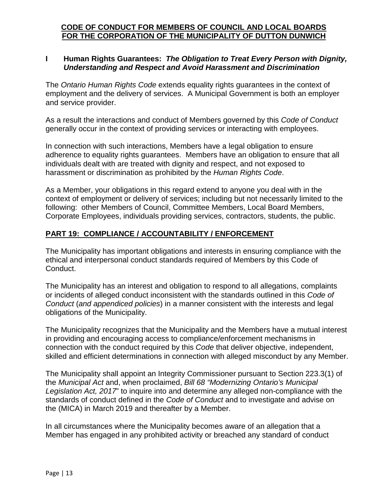#### **I Human Rights Guarantees:** *The Obligation to Treat Every Person with Dignity, Understanding and Respect and Avoid Harassment and Discrimination*

The *Ontario Human Rights Code* extends equality rights guarantees in the context of employment and the delivery of services. A Municipal Government is both an employer and service provider.

As a result the interactions and conduct of Members governed by this *Code of Conduct* generally occur in the context of providing services or interacting with employees.

In connection with such interactions, Members have a legal obligation to ensure adherence to equality rights guarantees. Members have an obligation to ensure that all individuals dealt with are treated with dignity and respect, and not exposed to harassment or discrimination as prohibited by the *Human Rights Code*.

As a Member, your obligations in this regard extend to anyone you deal with in the context of employment or delivery of services; including but not necessarily limited to the following: other Members of Council, Committee Members, Local Board Members, Corporate Employees, individuals providing services, contractors, students, the public.

#### <span id="page-12-0"></span>**PART 19: COMPLIANCE / ACCOUNTABILITY / ENFORCEMENT**

The Municipality has important obligations and interests in ensuring compliance with the ethical and interpersonal conduct standards required of Members by this Code of Conduct.

The Municipality has an interest and obligation to respond to all allegations, complaints or incidents of alleged conduct inconsistent with the standards outlined in this *Code of Conduct* (*and appendiced policies*) in a manner consistent with the interests and legal obligations of the Municipality.

The Municipality recognizes that the Municipality and the Members have a mutual interest in providing and encouraging access to compliance/enforcement mechanisms in connection with the conduct required by this *Code* that deliver objective, independent, skilled and efficient determinations in connection with alleged misconduct by any Member.

The Municipality shall appoint an Integrity Commissioner pursuant to Section 223.3(1) of the *Municipal Act* and, when proclaimed, *Bill 68 "Modernizing Ontario's Municipal Legislation Act, 2017*" to inquire into and determine any alleged non-compliance with the standards of conduct defined in the *Code of Conduct* and to investigate and advise on the (MICA) in March 2019 and thereafter by a Member.

In all circumstances where the Municipality becomes aware of an allegation that a Member has engaged in any prohibited activity or breached any standard of conduct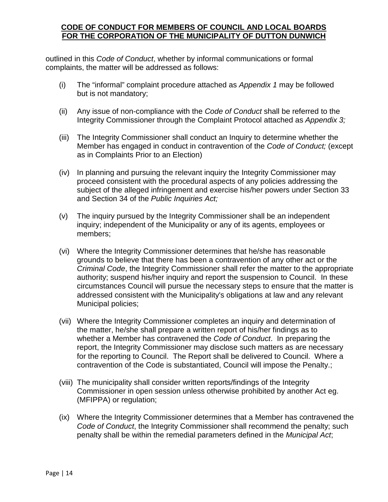outlined in this *Code of Conduct*, whether by informal communications or formal complaints, the matter will be addressed as follows:

- (i) The "informal" complaint procedure attached as *Appendix 1* may be followed but is not mandatory;
- (ii) Any issue of non-compliance with the *Code of Conduct* shall be referred to the Integrity Commissioner through the Complaint Protocol attached as *Appendix 3;*
- (iii) The Integrity Commissioner shall conduct an Inquiry to determine whether the Member has engaged in conduct in contravention of the *Code of Conduct;* (except as in Complaints Prior to an Election)
- (iv) In planning and pursuing the relevant inquiry the Integrity Commissioner may proceed consistent with the procedural aspects of any policies addressing the subject of the alleged infringement and exercise his/her powers under Section 33 and Section 34 of the *Public Inquiries Act;*
- (v) The inquiry pursued by the Integrity Commissioner shall be an independent inquiry; independent of the Municipality or any of its agents, employees or members;
- (vi) Where the Integrity Commissioner determines that he/she has reasonable grounds to believe that there has been a contravention of any other act or the *Criminal Code*, the Integrity Commissioner shall refer the matter to the appropriate authority; suspend his/her inquiry and report the suspension to Council. In these circumstances Council will pursue the necessary steps to ensure that the matter is addressed consistent with the Municipality's obligations at law and any relevant Municipal policies;
- (vii) Where the Integrity Commissioner completes an inquiry and determination of the matter, he/she shall prepare a written report of his/her findings as to whether a Member has contravened the *Code of Conduct*. In preparing the report, the Integrity Commissioner may disclose such matters as are necessary for the reporting to Council. The Report shall be delivered to Council. Where a contravention of the Code is substantiated, Council will impose the Penalty.;
- (viii) The municipality shall consider written reports/findings of the Integrity Commissioner in open session unless otherwise prohibited by another Act eg. (MFIPPA) or regulation;
- (ix) Where the Integrity Commissioner determines that a Member has contravened the *Code of Conduct*, the Integrity Commissioner shall recommend the penalty; such penalty shall be within the remedial parameters defined in the *Municipal Act*;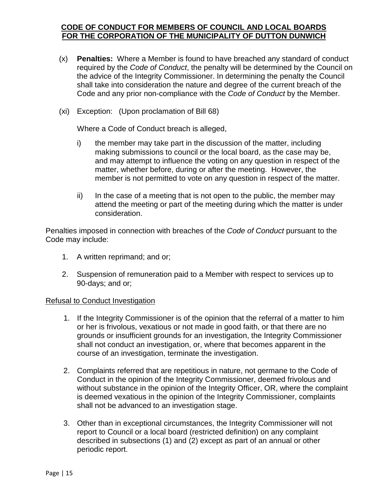- (x) **Penalties:** Where a Member is found to have breached any standard of conduct required by the *Code of Conduct*, the penalty will be determined by the Council on the advice of the Integrity Commissioner. In determining the penalty the Council shall take into consideration the nature and degree of the current breach of the Code and any prior non-compliance with the *Code of Conduct* by the Member.
- (xi) Exception: (Upon proclamation of Bill 68)

Where a Code of Conduct breach is alleged,

- i) the member may take part in the discussion of the matter, including making submissions to council or the local board, as the case may be, and may attempt to influence the voting on any question in respect of the matter, whether before, during or after the meeting. However, the member is not permitted to vote on any question in respect of the matter.
- ii) In the case of a meeting that is not open to the public, the member may attend the meeting or part of the meeting during which the matter is under consideration.

Penalties imposed in connection with breaches of the *Code of Conduct* pursuant to the Code may include:

- 1. A written reprimand; and or;
- 2. Suspension of remuneration paid to a Member with respect to services up to 90-days; and or;

#### Refusal to Conduct Investigation

- 1. If the Integrity Commissioner is of the opinion that the referral of a matter to him or her is frivolous, vexatious or not made in good faith, or that there are no grounds or insufficient grounds for an investigation, the Integrity Commissioner shall not conduct an investigation, or, where that becomes apparent in the course of an investigation, terminate the investigation.
- 2. Complaints referred that are repetitious in nature, not germane to the Code of Conduct in the opinion of the Integrity Commissioner, deemed frivolous and without substance in the opinion of the Integrity Officer, OR, where the complaint is deemed vexatious in the opinion of the Integrity Commissioner, complaints shall not be advanced to an investigation stage.
- 3. Other than in exceptional circumstances, the Integrity Commissioner will not report to Council or a local board (restricted definition) on any complaint described in subsections (1) and (2) except as part of an annual or other periodic report.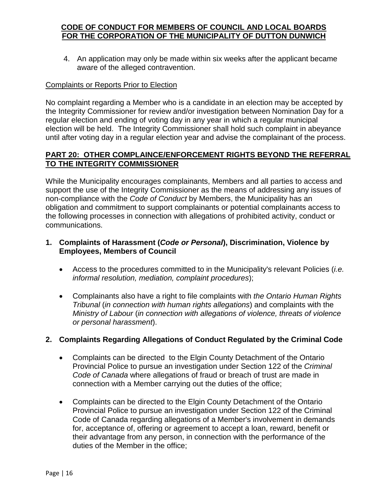4. An application may only be made within six weeks after the applicant became aware of the alleged contravention.

#### Complaints or Reports Prior to Election

No complaint regarding a Member who is a candidate in an election may be accepted by the Integrity Commissioner for review and/or investigation between Nomination Day for a regular election and ending of voting day in any year in which a regular municipal election will be held. The Integrity Commissioner shall hold such complaint in abeyance until after voting day in a regular election year and advise the complainant of the process.

#### <span id="page-15-0"></span>**PART 20: OTHER COMPLAINCE/ENFORCEMENT RIGHTS BEYOND THE REFERRAL TO THE INTEGRITY COMMISSIONER**

While the Municipality encourages complainants, Members and all parties to access and support the use of the Integrity Commissioner as the means of addressing any issues of non-compliance with the *Code of Conduct* by Members, the Municipality has an obligation and commitment to support complainants or potential complainants access to the following processes in connection with allegations of prohibited activity, conduct or communications.

#### **1. Complaints of Harassment (***Code or Personal***), Discrimination, Violence by Employees, Members of Council**

- Access to the procedures committed to in the Municipality's relevant Policies (*i.e. informal resolution, mediation, complaint procedures*);
- Complainants also have a right to file complaints with *the Ontario Human Rights Tribunal* (*in connection with human rights allegations*) and complaints with the *Ministry of Labour* (*in connection with allegations of violence, threats of violence or personal harassment*).

#### **2. Complaints Regarding Allegations of Conduct Regulated by the Criminal Code**

- Complaints can be directed to the Elgin County Detachment of the Ontario Provincial Police to pursue an investigation under Section 122 of the *Criminal Code of Canada* where allegations of fraud or breach of trust are made in connection with a Member carrying out the duties of the office;
- Complaints can be directed to the Elgin County Detachment of the Ontario Provincial Police to pursue an investigation under Section 122 of the Criminal Code of Canada regarding allegations of a Member's involvement in demands for, acceptance of, offering or agreement to accept a loan, reward, benefit or their advantage from any person, in connection with the performance of the duties of the Member in the office;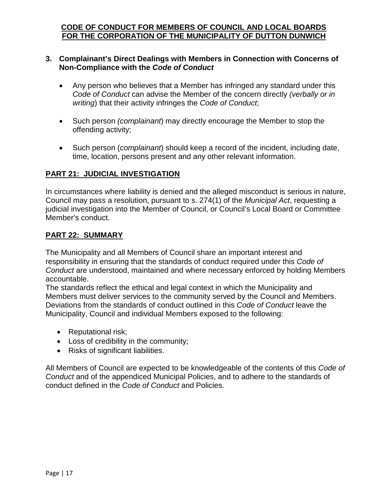#### **3. Complainant's Direct Dealings with Members in Connection with Concerns of Non-Compliance with the** *Code of Conduct*

- Any person who believes that a Member has infringed any standard under this *Code of Conduct* can advise the Member of the concern directly *(verbally or in writing*) that their activity infringes the *Code of Conduct*;
- Such person *(complainant*) may directly encourage the Member to stop the offending activity;
- Such person (*complainant*) should keep a record of the incident, including date, time, location, persons present and any other relevant information.

#### <span id="page-16-0"></span>**PART 21: JUDICIAL INVESTIGATION**

In circumstances where liability is denied and the alleged misconduct is serious in nature, Council may pass a resolution, pursuant to s. 274(1) of the *Municipal Act*, requesting a judicial investigation into the Member of Council, or Council's Local Board or Committee Member's conduct.

#### <span id="page-16-1"></span>**PART 22: SUMMARY**

The Municipality and all Members of Council share an important interest and responsibility in ensuring that the standards of conduct required under this *Code of Conduct* are understood, maintained and where necessary enforced by holding Members accountable.

The standards reflect the ethical and legal context in which the Municipality and Members must deliver services to the community served by the Council and Members. Deviations from the standards of conduct outlined in this *Code of Conduct* leave the Municipality, Council and individual Members exposed to the following:

- Reputational risk;
- Loss of credibility in the community;
- Risks of significant liabilities.

All Members of Council are expected to be knowledgeable of the contents of this *Code of Conduct* and of the appendiced Municipal Policies, and to adhere to the standards of conduct defined in the *Code of Conduct* and Policies.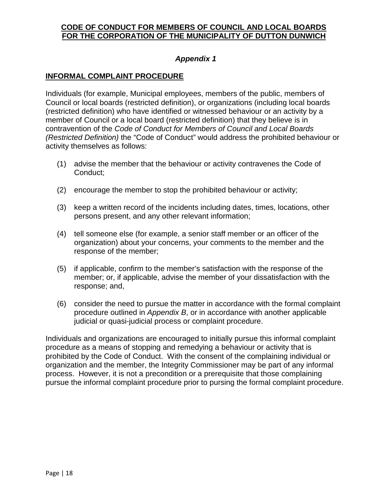#### *Appendix 1*

#### **INFORMAL COMPLAINT PROCEDURE**

Individuals (for example, Municipal employees, members of the public, members of Council or local boards (restricted definition), or organizations (including local boards (restricted definition) who have identified or witnessed behaviour or an activity by a member of Council or a local board (restricted definition) that they believe is in contravention of the *Code of Conduct for Members of Council and Local Boards (Restricted Definition)* the "Code of Conduct" would address the prohibited behaviour or activity themselves as follows:

- (1) advise the member that the behaviour or activity contravenes the Code of Conduct;
- (2) encourage the member to stop the prohibited behaviour or activity;
- (3) keep a written record of the incidents including dates, times, locations, other persons present, and any other relevant information;
- (4) tell someone else (for example, a senior staff member or an officer of the organization) about your concerns, your comments to the member and the response of the member;
- (5) if applicable, confirm to the member's satisfaction with the response of the member; or, if applicable, advise the member of your dissatisfaction with the response; and,
- (6) consider the need to pursue the matter in accordance with the formal complaint procedure outlined in *Appendix B*, or in accordance with another applicable judicial or quasi-judicial process or complaint procedure.

Individuals and organizations are encouraged to initially pursue this informal complaint procedure as a means of stopping and remedying a behaviour or activity that is prohibited by the Code of Conduct. With the consent of the complaining individual or organization and the member, the Integrity Commissioner may be part of any informal process. However, it is not a precondition or a prerequisite that those complaining pursue the informal complaint procedure prior to pursing the formal complaint procedure.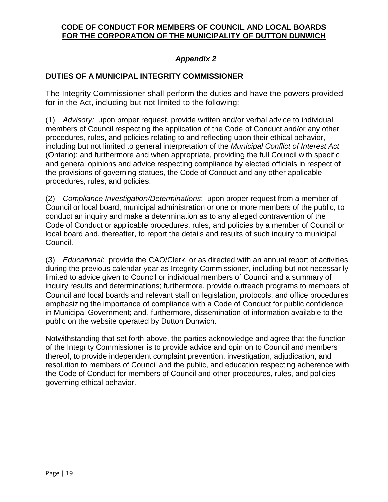#### *Appendix 2*

#### **DUTIES OF A MUNICIPAL INTEGRITY COMMISSIONER**

The Integrity Commissioner shall perform the duties and have the powers provided for in the Act, including but not limited to the following:

(1) *Advisory:* upon proper request, provide written and/or verbal advice to individual members of Council respecting the application of the Code of Conduct and/or any other procedures, rules, and policies relating to and reflecting upon their ethical behavior, including but not limited to general interpretation of the *Municipal Conflict of Interest Act* (Ontario); and furthermore and when appropriate, providing the full Council with specific and general opinions and advice respecting compliance by elected officials in respect of the provisions of governing statues, the Code of Conduct and any other applicable procedures, rules, and policies.

(2) *Compliance Investigation/Determinations*: upon proper request from a member of Council or local board, municipal administration or one or more members of the public, to conduct an inquiry and make a determination as to any alleged contravention of the Code of Conduct or applicable procedures, rules, and policies by a member of Council or local board and, thereafter, to report the details and results of such inquiry to municipal Council.

(3) *Educational*: provide the CAO/Clerk, or as directed with an annual report of activities during the previous calendar year as Integrity Commissioner, including but not necessarily limited to advice given to Council or individual members of Council and a summary of inquiry results and determinations; furthermore, provide outreach programs to members of Council and local boards and relevant staff on legislation, protocols, and office procedures emphasizing the importance of compliance with a Code of Conduct for public confidence in Municipal Government; and, furthermore, dissemination of information available to the public on the website operated by Dutton Dunwich.

Notwithstanding that set forth above, the parties acknowledge and agree that the function of the Integrity Commissioner is to provide advice and opinion to Council and members thereof, to provide independent complaint prevention, investigation, adjudication, and resolution to members of Council and the public, and education respecting adherence with the Code of Conduct for members of Council and other procedures, rules, and policies governing ethical behavior.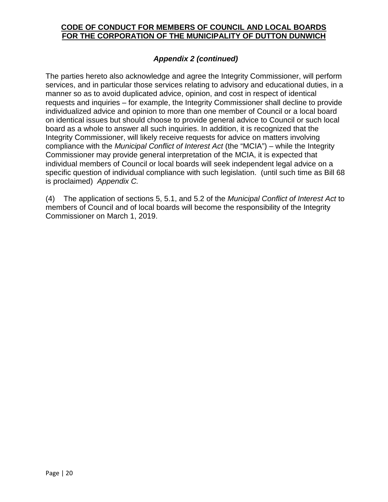#### *Appendix 2 (continued)*

The parties hereto also acknowledge and agree the Integrity Commissioner, will perform services, and in particular those services relating to advisory and educational duties, in a manner so as to avoid duplicated advice, opinion, and cost in respect of identical requests and inquiries – for example, the Integrity Commissioner shall decline to provide individualized advice and opinion to more than one member of Council or a local board on identical issues but should choose to provide general advice to Council or such local board as a whole to answer all such inquiries. In addition, it is recognized that the Integrity Commissioner, will likely receive requests for advice on matters involving compliance with the *Municipal Conflict of Interest Act* (the "MCIA") – while the Integrity Commissioner may provide general interpretation of the MCIA, it is expected that individual members of Council or local boards will seek independent legal advice on a specific question of individual compliance with such legislation. (until such time as Bill 68 is proclaimed) *Appendix C.*

(4) The application of sections 5, 5.1, and 5.2 of the *Municipal Conflict of Interest Act* to members of Council and of local boards will become the responsibility of the Integrity Commissioner on March 1, 2019.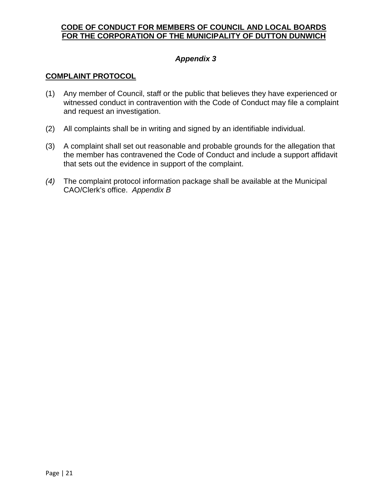#### *Appendix 3*

#### **COMPLAINT PROTOCOL**

- (1) Any member of Council, staff or the public that believes they have experienced or witnessed conduct in contravention with the Code of Conduct may file a complaint and request an investigation.
- (2) All complaints shall be in writing and signed by an identifiable individual.
- (3) A complaint shall set out reasonable and probable grounds for the allegation that the member has contravened the Code of Conduct and include a support affidavit that sets out the evidence in support of the complaint.
- *(4)* The complaint protocol information package shall be available at the Municipal CAO/Clerk's office. *Appendix B*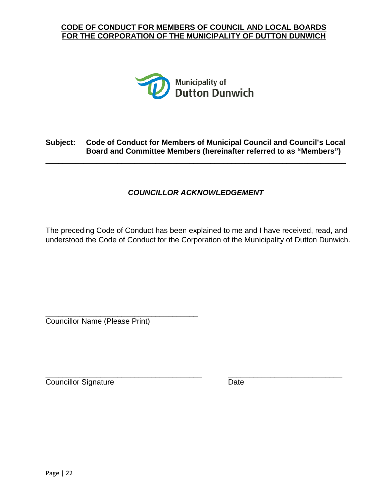

#### **Subject: Code of Conduct for Members of Municipal Council and Council's Local Board and Committee Members (hereinafter referred to as "Members")**

<span id="page-21-0"></span>\_\_\_\_\_\_\_\_\_\_\_\_\_\_\_\_\_\_\_\_\_\_\_\_\_\_\_\_\_\_\_\_\_\_\_\_\_\_\_\_\_\_\_\_\_\_\_\_\_\_\_\_\_\_\_\_\_\_\_\_\_\_\_\_\_\_\_\_\_\_\_

#### *COUNCILLOR ACKNOWLEDGEMENT*

The preceding Code of Conduct has been explained to me and I have received, read, and understood the Code of Conduct for the Corporation of the Municipality of Dutton Dunwich.

\_\_\_\_\_\_\_\_\_\_\_\_\_\_\_\_\_\_\_\_\_\_\_\_\_\_\_\_\_\_\_\_\_\_\_\_ Councillor Name (Please Print)

Councillor Signature Date

\_\_\_\_\_\_\_\_\_\_\_\_\_\_\_\_\_\_\_\_\_\_\_\_\_\_\_\_\_\_\_\_\_\_\_\_\_ \_\_\_\_\_\_\_\_\_\_\_\_\_\_\_\_\_\_\_\_\_\_\_\_\_\_\_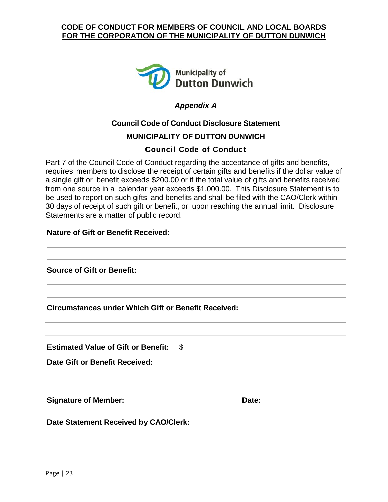

#### *Appendix A*

### **Council Code of Conduct Disclosure Statement MUNICIPALITY OF DUTTON DUNWICH**

#### **Council Code of Conduct**

<span id="page-22-0"></span>Part 7 of the Council Code of Conduct regarding the acceptance of gifts and benefits, requires members to disclose the receipt of certain gifts and benefits if the dollar value of a single gift or benefit exceeds \$200.00 or if the total value of gifts and benefits received from one source in a calendar year exceeds \$1,000.00. This Disclosure Statement is to be used to report on such gifts and benefits and shall be filed with the CAO/Clerk within 30 days of receipt of such gift or benefit, or upon reaching the annual limit. Disclosure Statements are a matter of public record.

#### **Nature of Gift or Benefit Received:**

| <b>Source of Gift or Benefit:</b>                                                                                                                                                                                                   |                                                                                                                       |  |
|-------------------------------------------------------------------------------------------------------------------------------------------------------------------------------------------------------------------------------------|-----------------------------------------------------------------------------------------------------------------------|--|
| ,我们也不能会在这里,我们的人们就会在这里,我们的人们就会在这里,我们的人们就会在这里,我们的人们就会在这里,我们的人们就会在这里,我们的人们就会在这里,我们的<br><b>Circumstances under Which Gift or Benefit Received:</b><br>,我们也不能会在这里,我们的人们就会在这里,我们也不能会在这里,我们也不能会在这里,我们也不能会在这里,我们也不能会在这里,我们也不能会不能会不能会。""我们,我 |                                                                                                                       |  |
| <u> 1989 - Andrea Santa Andrea Andrea Andrea Andrea Andrea Andrea Andrea Andrea Andrea Andrea Andrea Andrea Andr</u><br>Estimated Value of Gift or Benefit: \$                                                                      |                                                                                                                       |  |
| <b>Date Gift or Benefit Received:</b>                                                                                                                                                                                               | <u> 1989 - Johann John Stein, mars an deutscher Stein und der Stein und der Stein und der Stein und der Stein und</u> |  |
|                                                                                                                                                                                                                                     |                                                                                                                       |  |
| Date Statement Received by CAO/Clerk:                                                                                                                                                                                               |                                                                                                                       |  |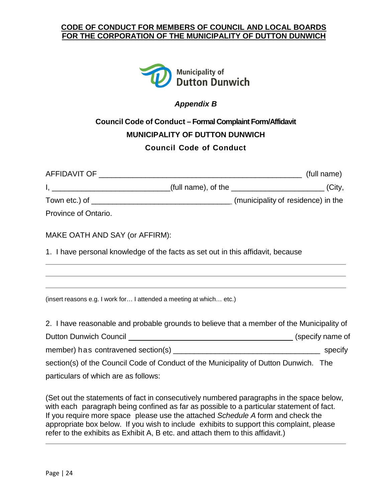

#### *Appendix B*

## <span id="page-23-0"></span>**Council Code of Conduct – Formal Complaint Form/Affidavit MUNICIPALITY OF DUTTON DUNWICH Council Code of Conduct**

| I, ___________________________________(full name), of the ____________________________(City, |  |
|----------------------------------------------------------------------------------------------|--|
|                                                                                              |  |
| Province of Ontario.                                                                         |  |
| MAKE OATH AND SAY (or AFFIRM):                                                               |  |
| 1. I have personal knowledge of the facts as set out in this affidavit, because              |  |
| (insert reasons e.g. I work for I attended a meeting at which etc.)                          |  |
| 2. I have reasonable and probable grounds to believe that a member of the Municipality of    |  |
|                                                                                              |  |

member) has contravened section(s) example the specify specify

section(s) of the Council Code of Conduct of the Municipality of Dutton Dunwich. The particulars of which are as follows:

(Set out the statements of fact in consecutively numbered paragraphs in the space below, with each paragraph being confined as far as possible to a particular statement of fact. If you require more space please use the attached *Schedule A* form and check the appropriate box below. If you wish to include exhibits to support this complaint, please refer to the exhibits as Exhibit A, B etc. and attach them to this affidavit.)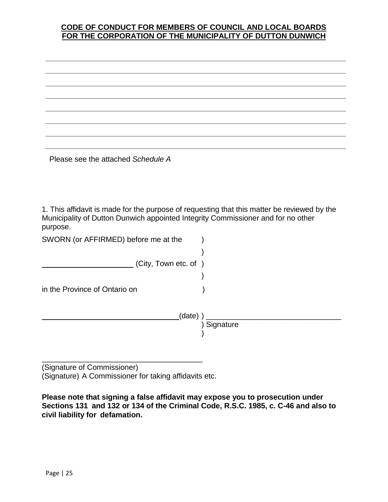Please see the attached *Schedule A*

1. This affidavit is made for the purpose of requesting that this matter be reviewed by the Municipality of Dutton Dunwich appointed Integrity Commissioner and for no other purpose.

| SWORN (or AFFIRMED) before me at the |             |
|--------------------------------------|-------------|
|                                      |             |
| (City, Town etc. of)                 |             |
|                                      |             |
| in the Province of Ontario on        |             |
| (data)                               |             |
|                                      | ) Signature |
|                                      |             |

\_\_\_\_\_\_\_\_\_\_\_\_\_\_\_\_\_\_\_\_\_\_\_\_\_\_\_\_\_\_\_\_\_\_\_\_\_\_ (Signature of Commissioner) (Signature) A Commissioner for taking affidavits etc.

**Please note that signing a false affidavit may expose you to prosecution under Sections 131 and 132 or 134 of the Criminal Code, R.S.C. 1985, c. C-46 and also to civil liability for defamation.**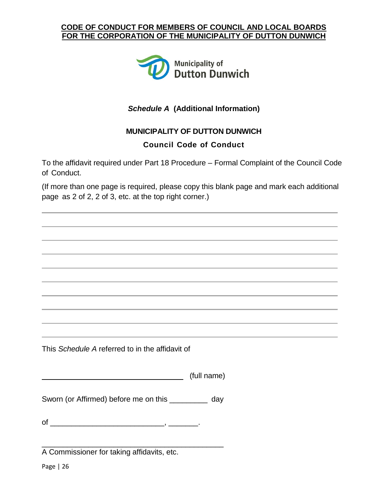

#### *Schedule A* **(Additional Information)**

#### **MUNICIPALITY OF DUTTON DUNWICH**

#### **Council Code of Conduct**

To the affidavit required under Part 18 Procedure – Formal Complaint of the Council Code of Conduct.

(If more than one page is required, please copy this blank page and mark each additional page as 2 of 2, 2 of 3, etc. at the top right corner.)

This *Schedule A* referred to in the affidavit of

(full name)

Sworn (or Affirmed) before me on this \_\_\_\_\_\_\_\_\_ day

of \_\_\_\_\_\_\_\_\_\_\_\_\_\_\_\_\_\_\_\_\_\_\_\_\_\_\_, \_\_\_\_\_\_\_.

\_\_\_\_\_\_\_\_\_\_\_\_\_\_\_\_\_\_\_\_\_\_\_\_\_\_\_\_\_\_\_\_\_\_\_\_\_\_\_\_\_\_\_ A Commissioner for taking affidavits, etc.

Page | 26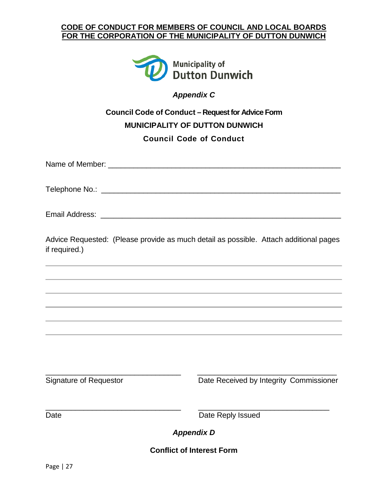

*Appendix C*

## <span id="page-26-0"></span>**Council Code of Conduct – Request for Advice Form MUNICIPALITY OF DUTTON DUNWICH Council Code of Conduct**

Name of Member:  $\blacksquare$ 

Telephone No.: \_\_\_\_\_\_\_\_\_\_\_\_\_\_\_\_\_\_\_\_\_\_\_\_\_\_\_\_\_\_\_\_\_\_\_\_\_\_\_\_\_\_\_\_\_\_\_\_\_\_\_\_\_\_\_\_\_

Email Address: \_\_\_\_\_\_\_\_\_\_\_\_\_\_\_\_\_\_\_\_\_\_\_\_\_\_\_\_\_\_\_\_\_\_\_\_\_\_\_\_\_\_\_\_\_\_\_\_\_\_\_\_\_\_\_\_

Advice Requested: (Please provide as much detail as possible. Attach additional pages if required.)

\_\_\_\_\_\_\_\_\_\_\_\_\_\_\_\_\_\_\_\_\_\_\_\_\_\_\_\_\_\_\_\_ \_\_\_\_\_\_\_\_\_\_\_\_\_\_\_\_\_\_\_\_\_\_\_\_\_\_\_\_\_\_\_\_\_ Signature of Requestor **Date Received by Integrity Commissioner** 

<span id="page-26-1"></span>

\_\_\_\_\_\_\_\_\_\_\_\_\_\_\_\_\_\_\_\_\_\_\_\_\_\_\_\_\_\_\_\_ \_\_\_\_\_\_\_\_\_\_\_\_\_\_\_\_\_\_\_\_\_\_\_\_\_\_\_\_\_\_\_ Date **Date Reply Issued** 

*Appendix D*

**Conflict of Interest Form**